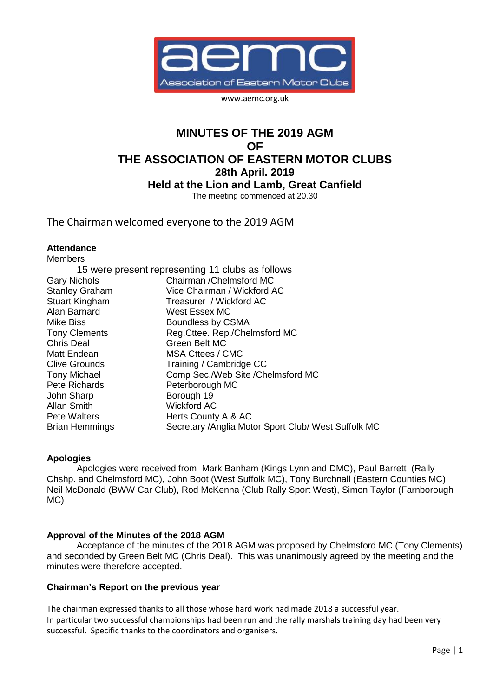

www.aemc.org.uk

# **MINUTES OF THE 2019 AGM OF THE ASSOCIATION OF EASTERN MOTOR CLUBS 28th April. 2019 Held at the Lion and Lamb, Great Canfield** The meeting commenced at 20.30

The Chairman welcomed everyone to the 2019 AGM

#### **Attendance**

| <b>Members</b>        |                                                      |
|-----------------------|------------------------------------------------------|
|                       | 15 were present representing 11 clubs as follows     |
| <b>Gary Nichols</b>   | Chairman / Chelmsford MC                             |
| <b>Stanley Graham</b> | Vice Chairman / Wickford AC                          |
| <b>Stuart Kingham</b> | Treasurer / Wickford AC                              |
| Alan Barnard          | West Essex MC                                        |
| Mike Biss             | Boundless by CSMA                                    |
| <b>Tony Clements</b>  | Reg. Cttee. Rep./Chelmsford MC                       |
| <b>Chris Deal</b>     | Green Belt MC                                        |
| Matt Endean           | MSA Cttees / CMC                                     |
| Clive Grounds         | Training / Cambridge CC                              |
| <b>Tony Michael</b>   | Comp Sec./Web Site /Chelmsford MC                    |
| Pete Richards         | Peterborough MC                                      |
| John Sharp            | Borough 19                                           |
| Allan Smith           | <b>Wickford AC</b>                                   |
| Pete Walters          | Herts County A & AC                                  |
| <b>Brian Hemmings</b> | Secretary / Anglia Motor Sport Club/ West Suffolk MC |

#### **Apologies**

Apologies were received from Mark Banham (Kings Lynn and DMC), Paul Barrett (Rally Chshp. and Chelmsford MC), John Boot (West Suffolk MC), Tony Burchnall (Eastern Counties MC), Neil McDonald (BWW Car Club), Rod McKenna (Club Rally Sport West), Simon Taylor (Farnborough MC)

#### **Approval of the Minutes of the 2018 AGM**

Acceptance of the minutes of the 2018 AGM was proposed by Chelmsford MC (Tony Clements) and seconded by Green Belt MC (Chris Deal). This was unanimously agreed by the meeting and the minutes were therefore accepted.

#### **Chairman's Report on the previous year**

The chairman expressed thanks to all those whose hard work had made 2018 a successful year. In particular two successful championships had been run and the rally marshals training day had been very successful. Specific thanks to the coordinators and organisers.